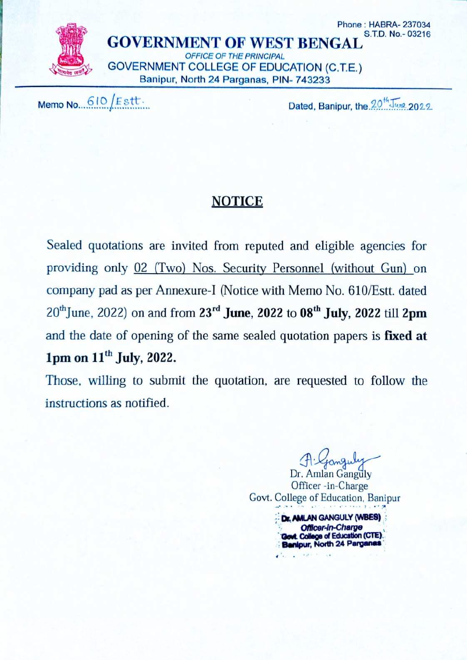

Memo No. 610 Estt.

Dated, Banipur, the 20<sup>th</sup> June 2022

## **NOTICE**

Sealed quotations are invited from reputed and eligible agencies for providing only 02 (Two) Nos. Security Personnel (without Gun) on company pad as per Annexure-I (Notice with Memo No. 610/Estt. dated  $20^{th}$ June, 2022) on and from  $23^{rd}$  June, 2022 to 08<sup>th</sup> July, 2022 till 2pm and the date of opening of the same sealed quotation papers is fixed at 1pm on 11<sup>th</sup> July, 2022.

Those, willing to submit the quotation, are requested to follow the instructions as notified.

Dr. Amlan Ganguly Officer-in-Charge Govt. College of Education. Banipur Dr. AMLAN GANGULY (WBES) Officer-in-Charge **Govt. College of Education (CTE)** Banipur, North 24 Parganas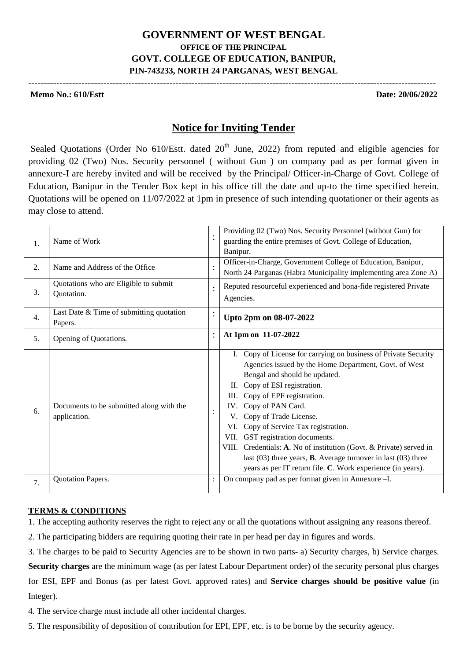### **GOVERNMENT OF WEST BENGAL OFFICE OF THE PRINCIPAL GOVT. COLLEGE OF EDUCATION, BANIPUR, PIN-743233, NORTH 24 PARGANAS, WEST BENGAL**

----------------------------------------------------------------------------------------------------------------------------------

#### **Memo No.: 610/Estt Date: 20/06/2022**

### **Notice for Inviting Tender**

Sealed Quotations (Order No  $610$ /Estt. dated  $20<sup>th</sup>$  June, 2022) from reputed and eligible agencies for providing 02 (Two) Nos. Security personnel ( without Gun ) on company pad as per format given in annexure-I are hereby invited and will be received by the Principal/ Officer-in-Charge of Govt. College of Education, Banipur in the Tender Box kept in his office till the date and up-to the time specified herein. Quotations will be opened on 11/07/2022 at 1pm in presence of such intending quotationer or their agents as may close to attend.

| 1. | Name of Work                                             |                | Providing 02 (Two) Nos. Security Personnel (without Gun) for<br>guarding the entire premises of Govt. College of Education,<br>Banipur.                                                                                                                                                                                                                                                                                                                                                                                                                                            |  |
|----|----------------------------------------------------------|----------------|------------------------------------------------------------------------------------------------------------------------------------------------------------------------------------------------------------------------------------------------------------------------------------------------------------------------------------------------------------------------------------------------------------------------------------------------------------------------------------------------------------------------------------------------------------------------------------|--|
| 2. | Name and Address of the Office                           | $\ddot{\cdot}$ | Officer-in-Charge, Government College of Education, Banipur,<br>North 24 Parganas (Habra Municipality implementing area Zone A)                                                                                                                                                                                                                                                                                                                                                                                                                                                    |  |
| 3. | Quotations who are Eligible to submit<br>Quotation.      |                | Reputed resourceful experienced and bona-fide registered Private<br>Agencies.                                                                                                                                                                                                                                                                                                                                                                                                                                                                                                      |  |
| 4. | Last Date & Time of submitting quotation<br>Papers.      |                | Upto 2pm on 08-07-2022                                                                                                                                                                                                                                                                                                                                                                                                                                                                                                                                                             |  |
| 5. | Opening of Quotations.                                   |                | At 1pm on 11-07-2022                                                                                                                                                                                                                                                                                                                                                                                                                                                                                                                                                               |  |
| 6. | Documents to be submitted along with the<br>application. |                | I. Copy of License for carrying on business of Private Security<br>Agencies issued by the Home Department, Govt. of West<br>Bengal and should be updated.<br>II. Copy of ESI registration.<br>III. Copy of EPF registration.<br>IV. Copy of PAN Card.<br>V. Copy of Trade License.<br>VI. Copy of Service Tax registration.<br>VII. GST registration documents.<br>VIII. Credentials: A. No of institution (Govt. & Private) served in<br>last $(03)$ three years, <b>B</b> . Average turnover in last $(03)$ three<br>years as per IT return file. C. Work experience (in years). |  |
| 7. | Quotation Papers.                                        |                | On company pad as per format given in Annexure -I.                                                                                                                                                                                                                                                                                                                                                                                                                                                                                                                                 |  |

#### **TERMS & CONDITIONS**

1. The accepting authority reserves the right to reject any or all the quotations without assigning any reasons thereof.

2. The participating bidders are requiring quoting their rate in per head per day in figures and words.

3. The charges to be paid to Security Agencies are to be shown in two parts- a) Security charges, b) Service charges. **Security charges** are the minimum wage (as per latest Labour Department order) of the security personal plus charges for ESI, EPF and Bonus (as per latest Govt. approved rates) and **Service charges should be positive value** (in Integer).

4. The service charge must include all other incidental charges.

5. The responsibility of deposition of contribution for EPI, EPF, etc. is to be borne by the security agency.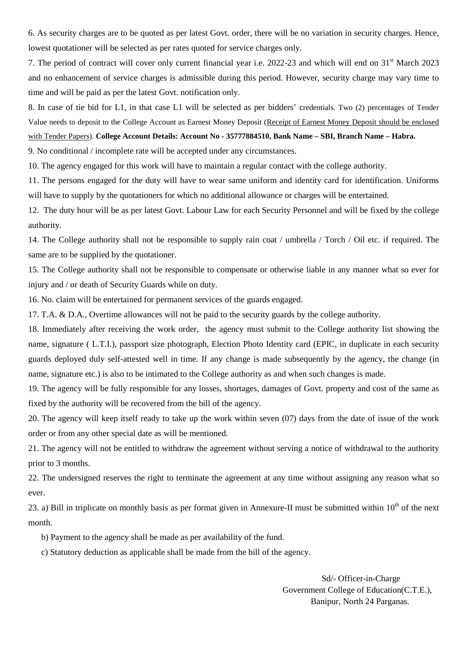6. As security charges are to be quoted as per latest Govt. order, there will be no variation in security charges. Hence, lowest quotationer will be selected as per rates quoted for service charges only.

7. The period of contract will cover only current financial year i.e. 2022-23 and which will end on 31<sup>st</sup> March 2023 and no enhancement of service charges is admissible during this period. However, security charge may vary time to time and will be paid as per the latest Govt. notification only.

8. In case of tie bid for L1, in that case L1 will be selected as per bidders' credentials. Two (2) percentages of Tender Value needs to deposit to the College Account as Earnest Money Deposit (Receipt of Earnest Money Deposit should be enclosed with Tender Papers). **College Account Details: Account No - 35777884510, Bank Name – SBI, Branch Name – Habra.**

9. No conditional / incomplete rate will be accepted under any circumstances.

10. The agency engaged for this work will have to maintain a regular contact with the college authority.

11. The persons engaged for the duty will have to wear same uniform and identity card for identification. Uniforms will have to supply by the quotationers for which no additional allowance or charges will be entertained.

12. The duty hour will be as per latest Govt. Labour Law for each Security Personnel and will be fixed by the college authority.

14. The College authority shall not be responsible to supply rain coat / umbrella / Torch / Oil etc. if required. The same are to be supplied by the quotationer.

15. The College authority shall not be responsible to compensate or otherwise liable in any manner what so ever for injury and / or death of Security Guards while on duty.

16. No. claim will be entertained for permanent services of the guards engaged.

17. T.A. & D.A., Overtime allowances will not be paid to the security guards by the college authority.

18. Immediately after receiving the work order, the agency must submit to the College authority list showing the name, signature ( L.T.I.), passport size photograph, Election Photo Identity card (EPIC, in duplicate in each security guards deployed duly self-attested well in time. If any change is made subsequently by the agency, the change (in name, signature etc.) is also to be intimated to the College authority as and when such changes is made.

19. The agency will be fully responsible for any losses, shortages, damages of Govt. property and cost of the same as fixed by the authority will be recovered from the bill of the agency.

20. The agency will keep itself ready to take up the work within seven (07) days from the date of issue of the work order or from any other special date as will be mentioned.

21. The agency will not be entitled to withdraw the agreement without serving a notice of withdrawal to the authority prior to 3 months.

22. The undersigned reserves the right to terminate the agreement at any time without assigning any reason what so ever.

23. a) Bill in triplicate on monthly basis as per format given in Annexure-II must be submitted within  $10<sup>th</sup>$  of the next month.

b) Payment to the agency shall be made as per availability of the fund.

c) Statutory deduction as applicable shall be made from the bill of the agency.

 Sd/- Officer-in-Charge Government College of Education(C.T.E.), Banipur, North 24 Parganas.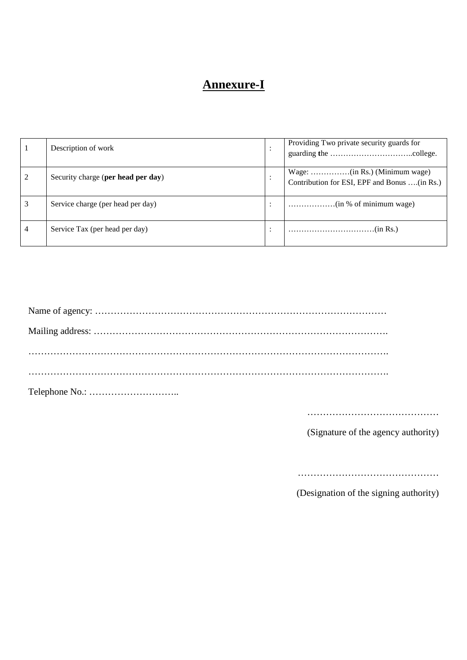# **Annexure-I**

| Description of work                | Providing Two private security guards for    |
|------------------------------------|----------------------------------------------|
| Security charge (per head per day) | Contribution for ESI, EPF and Bonus (in Rs.) |
| Service charge (per head per day)  |                                              |
| Service Tax (per head per day)     |                                              |

……………………………………

(Signature of the agency authority)

………………………………………

(Designation of the signing authority)